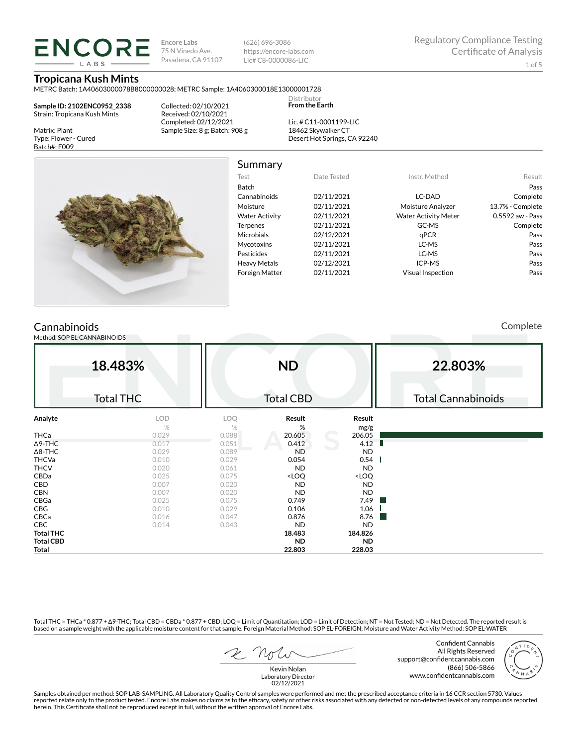**Encore Labs** 75 N Vinedo Ave. Pasadena, CA 91107 (626) 696-3086 https://encore-labs.com Lic# C8-0000086-LIC

# **Tropicana Kush Mints**

**ENCORE LARS** 

METRC Batch: 1A40603000078B8000000028; METRC Sample: 1A4060300018E13000001728

**Sample ID: 2102ENC0952\_2338** Strain: Tropicana Kush Mints

Matrix: Plant Type: Flower - Cured Batch#: F009

Collected: 02/10/2021 Received: 02/10/2021 Completed: 02/12/2021 Sample Size: 8 g; Batch: 908 g

Lic. # C11-0001199-LIC 18462 Skywalker CT Desert Hot Springs, CA 92240

Distributor **From the Earth**



Summary

| Test                  | Date Tested | Instr. Method               | Result           |
|-----------------------|-------------|-----------------------------|------------------|
| <b>Batch</b>          |             |                             | Pass             |
| Cannabinoids          | 02/11/2021  | LC-DAD                      | Complete         |
| Moisture              | 02/11/2021  | Moisture Analyzer           | 13.7% - Complete |
| <b>Water Activity</b> | 02/11/2021  | <b>Water Activity Meter</b> | 0.5592 aw - Pass |
| <b>Terpenes</b>       | 02/11/2021  | GC-MS                       | Complete         |
| <b>Microbials</b>     | 02/12/2021  | qPCR                        | Pass             |
| <b>Mycotoxins</b>     | 02/11/2021  | LC-MS                       | Pass             |
| Pesticides            | 02/11/2021  | LC-MS                       | Pass             |
| <b>Heavy Metals</b>   | 02/12/2021  | ICP-MS                      | Pass             |
| <b>Foreign Matter</b> | 02/11/2021  | <b>Visual Inspection</b>    | Pass             |
|                       |             |                             |                  |

# Cannabinoids

Method: SOP EL-CANNABINOIDS

Complete

|                  | 18.483%          |       | <b>ND</b>                                                |                                                                                                                               | 22.803%                   |
|------------------|------------------|-------|----------------------------------------------------------|-------------------------------------------------------------------------------------------------------------------------------|---------------------------|
|                  |                  |       |                                                          |                                                                                                                               | <b>Total Cannabinoids</b> |
|                  | <b>Total THC</b> |       | <b>Total CBD</b>                                         |                                                                                                                               |                           |
| Analyte          | LOD              | LOQ   | Result                                                   | Result                                                                                                                        |                           |
|                  | %                | $\%$  | %                                                        | mg/g                                                                                                                          |                           |
| THCa             | 0.029            | 0.088 | 20.605                                                   | 206.05                                                                                                                        |                           |
| $\Delta$ 9-THC   | 0.017            | 0.051 | 0.412                                                    | 4.12                                                                                                                          |                           |
| $\Delta$ 8-THC   | 0.029            | 0.089 | <b>ND</b>                                                | <b>ND</b>                                                                                                                     |                           |
| <b>THCVa</b>     | 0.010            | 0.029 | 0.054                                                    | 0.54                                                                                                                          |                           |
| <b>THCV</b>      | 0.020            | 0.061 | <b>ND</b>                                                | <b>ND</b>                                                                                                                     |                           |
| CBDa             | 0.025            | 0.075 | <loq< th=""><th><loq< th=""><th></th></loq<></th></loq<> | <loq< th=""><th></th></loq<>                                                                                                  |                           |
| CBD              | 0.007            | 0.020 | <b>ND</b>                                                | <b>ND</b>                                                                                                                     |                           |
| <b>CBN</b>       | 0.007            | 0.020 | ND                                                       | <b>ND</b>                                                                                                                     |                           |
| CBGa             | 0.025            | 0.075 | 0.749                                                    | 7.49                                                                                                                          |                           |
| CBG              | 0.010            | 0.029 | 0.106                                                    | 1.06                                                                                                                          |                           |
| CBCa             | 0.016            | 0.047 | 0.876                                                    | 8.76<br><b>The Contract of the Contract of the Contract of the Contract of the Contract of the Contract of the Contract o</b> |                           |
| CBC              | 0.014            | 0.043 | ND                                                       | <b>ND</b>                                                                                                                     |                           |
| <b>Total THC</b> |                  |       | 18.483                                                   | 184.826                                                                                                                       |                           |
| <b>Total CBD</b> |                  |       | ND.                                                      | <b>ND</b>                                                                                                                     |                           |
| Total            |                  |       | 22.803                                                   | 228.03                                                                                                                        |                           |

Total THC = THCa \* 0.877 + ∆9-THC; Total CBD = CBDa \* 0.877 + CBD; LOQ = Limit of Quantitation; LOD = Limit of Detection; NT = Not Tested; ND = Not Detected. The reported result is based on a sample weight with the applicable moisture content for that sample. Foreign Material Method: SOP EL-FOREIGN; Moisture and Water Activity Method: SOP EL-WATER

Confident Cannabis All Rights Reserved support@confidentcannabis.com (866) 506-5866 www.confidentcannabis.com



Kevin Nolan Laboratory Director 02/12/2021

Samples obtained per method: SOP LAB-SAMPLING. All Laboratory Quality Control samples were performed and met the prescribed acceptance criteria in 16 CCR section 5730. Values reported relate only to the product tested. Encore Labs makes no claims as to the efficacy, safety or other risks associated with any detected or non-detected levels of any compounds reported<br>herein. This Certificate shall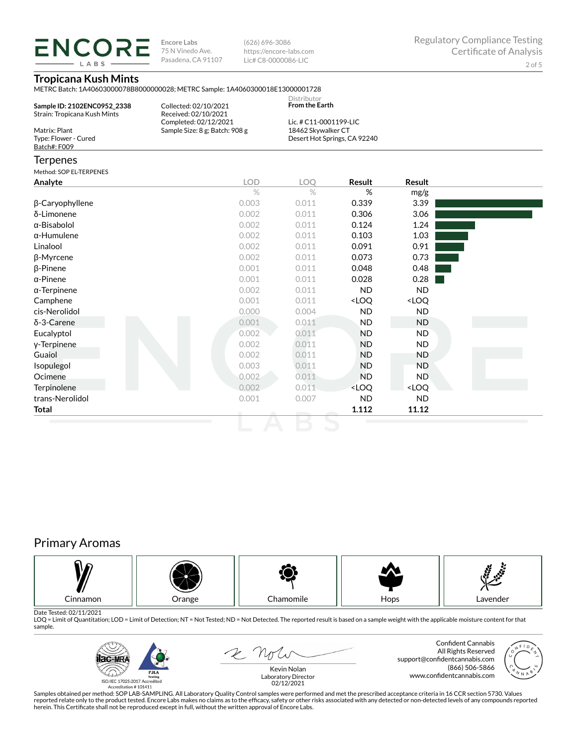LABS

**Encore Labs** 75 N Vinedo Ave. Pasadena, CA 91107

(626) 696-3086 https://encore-labs.com Lic# C8-0000086-LIC

# **Tropicana Kush Mints**

METRC Batch: 1A40603000078B8000000028; METRC Sample: 1A4060300018E13000001728

| Sample ID: 2102ENC0952 2338<br>Strain: Tropicana Kush Mints | Collected: 02/10/2021<br>Received: 02/10/2021 | Distributor<br><b>From the Earth</b> |  |
|-------------------------------------------------------------|-----------------------------------------------|--------------------------------------|--|
|                                                             | Completed: 02/12/2021                         | Lic. # $C11-0001199-LLC$             |  |
| Matrix: Plant                                               | Sample Size: 8 g; Batch: 908 g                | 18462 Skywalker CT                   |  |
| Type: Flower - Cured                                        |                                               | Desert Hot Springs, CA 92240         |  |
| Batch#: F009                                                |                                               |                                      |  |
| <b>Terpenes</b>                                             |                                               |                                      |  |

### Method: SOP EL-TERPENES

| Analyte             | <b>LOD</b>    | LOQ   | Result                                                   | Result                       |  |
|---------------------|---------------|-------|----------------------------------------------------------|------------------------------|--|
|                     | $\frac{1}{2}$ | $\%$  | %                                                        | mg/g                         |  |
| β-Caryophyllene     | 0.003         | 0.011 | 0.339                                                    | 3.39                         |  |
| δ-Limonene          | 0.002         | 0.011 | 0.306                                                    | 3.06                         |  |
| α-Bisabolol         | 0.002         | 0.011 | 0.124                                                    | 1.24                         |  |
| $\alpha$ -Humulene  | 0.002         | 0.011 | 0.103                                                    | 1.03                         |  |
| Linalool            | 0.002         | 0.011 | 0.091                                                    | 0.91                         |  |
| β-Myrcene           | 0.002         | 0.011 | 0.073                                                    | 0.73                         |  |
| $\beta$ -Pinene     | 0.001         | 0.011 | 0.048                                                    | 0.48                         |  |
| $\alpha$ -Pinene    | 0.001         | 0.011 | 0.028                                                    | 0.28                         |  |
| $\alpha$ -Terpinene | 0.002         | 0.011 | <b>ND</b>                                                | <b>ND</b>                    |  |
| Camphene            | 0.001         | 0.011 | <loq< td=""><td><loq< td=""><td></td></loq<></td></loq<> | <loq< td=""><td></td></loq<> |  |
| cis-Nerolidol       | 0.000         | 0.004 | <b>ND</b>                                                | ND                           |  |
| $\delta$ -3-Carene  | 0.001         | 0.011 | <b>ND</b>                                                | ND                           |  |
| Eucalyptol          | 0.002         | 0.011 | <b>ND</b>                                                | ND.                          |  |
| y-Terpinene         | 0.002         | 0.011 | <b>ND</b>                                                | ND.                          |  |
| Guaiol              | 0.002         | 0.011 | <b>ND</b>                                                | ND                           |  |
| Isopulegol          | 0.003         | 0.011 | ND.                                                      | ND.                          |  |
| Ocimene             | 0.002         | 0.011 | <b>ND</b>                                                | ND.                          |  |
| Terpinolene         | 0.002         | 0.011 | <loq< td=""><td><loq< td=""><td></td></loq<></td></loq<> | <loq< td=""><td></td></loq<> |  |
| trans-Nerolidol     | 0.001         | 0.007 | <b>ND</b>                                                | ND                           |  |
| Total               |               |       | 1.112                                                    | 11.12                        |  |

# Primary Aromas



Date Tested: 02/11/2021<br>LOQ = Limit of Quantitation; LOD = Limit of Detection; NT = Not Tested; ND = Not Detected. The reported result is based on a sample weight with the applicable moisture content for that sample.



2 Not Kevin Nolan

Confident Cannabis All Rights Reserved support@confidentcannabis.com (866) 506-5866 www.confidentcannabis.com

Laboratory Director 02/12/2021

Samples obtained per method: SOP LAB-SAMPLING. All Laboratory Quality Control samples were performed and met the prescribed acceptance criteria in 16 CCR section 5730. Values reported relate only to the product tested. Encore Labs makes no claims as to the efficacy, safety or other risks associated with any detected or non-detected levels of any compounds reported<br>herein. This Certificate shall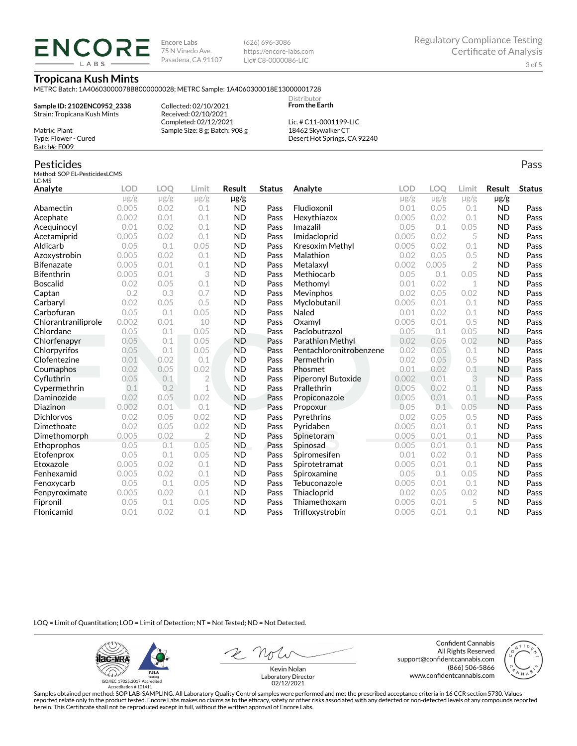**ENCORE IARS** 

**Encore Labs** 75 N Vinedo Ave. Pasadena, CA 91107 (626) 696-3086 https://encore-labs.com Lic# C8-0000086-LIC

> Distributor **From the Earth**

### **Tropicana Kush Mints**

METRC Batch: 1A40603000078B8000000028; METRC Sample: 1A4060300018E13000001728

**Sample ID: 2102ENC0952\_2338** Strain: Tropicana Kush Mints

Matrix: Plant Type: Flower - Cured Batch#: F009

Pesticides

Collected: 02/10/2021 Received: 02/10/2021 Completed: 02/12/2021 Sample Size: 8 g; Batch: 908 g

Lic. # C11-0001199-LIC 18462 Skywalker CT Desert Hot Springs, CA 92240

#### Method: SOP EL-PesticidesLCMS LC-MS **Analyte LOD LOQ Limit Result Status**  $\mu$ g/g  $\mu$ g/g  $\mu$ g/g  $\mu$ g/g Abamectin 0.005 0.02 0.1 ND Pass Acephate 0.002 0.01 0.1 ND Pass Acequinocyl 0.01 0.02 0.1 ND Pass Acetamiprid 0.005 0.02 0.1 ND Pass Aldicarb 0.05 0.1 0.05 ND Pass Azoxystrobin 0.005 0.02 0.1 ND Pass Bifenazate 0.005 0.01 0.1 ND Pass Bifenthrin 0.005 0.01 3 ND Pass Boscalid 0.02 0.05 0.1 ND Pass **Captan 12 0.2 0.3 0.7 ND Pass Carbaryl 0.02 0.05 0.5 ND Pass** Carbofuran 0.05 0.1 0.05 ND Pass Chlorantraniliprole 0.002 0.01 10 ND Pass Chlordane 0.05 0.1 0.05 ND Pass Chlorfenapyr 0.05 0.1 0.05 ND Pass Chlorpyrifos 0.05 0.1 0.05 ND Pass Clofentezine 0.01 0.02 0.1 ND Pass Coumaphos 0.02 0.05 0.02 ND Pass Cyfluthrin 0.05 0.1 2 ND Pass Cypermethrin 0.1 0.2 1 ND Pass Daminozide 0.02 0.05 0.02 ND Pass **Diazinon** 0.002 0.01 0.1 ND Pass Dichlorvos 0.02 0.05 0.02 ND Pass Dimethoate 0.02 0.05 0.02 ND Pass Dimethomorph 0.005 0.02 2 ND Pass Ethoprophos 0.05 0.1 0.05 ND Pass Etofenprox 0.05 0.1 0.05 ND Pass Etoxazole 0.005 0.02 0.1 ND Pass Fenhexamid 0.005 0.02 0.1 ND Pass Fenoxycarb 0.05 0.1 0.05 ND Pass Fenpyroximate 0.005 0.02 0.1 ND Pass Fipronil 0.05 0.1 0.05 ND Pass Flonicamid 0.01 0.02 0.1 ND Pass **Analyte LOD LOQ Limit Result Status**  $\mu$ g/g  $\mu$ g/g  $\mu$ g/g  $\mu$ g/g Fludioxonil 0.01 0.05 0.1 ND Pass Hexythiazox 0.005 0.02 0.1 ND Pass **Imazalil 11 0.05 0.1 0.05 ND Pass** Imidacloprid 0.005 0.02 5 ND Pass Kresoxim Methyl  $0.005$  0.02 0.1 ND Pass **Malathion** 0.02 0.05 0.5 **ND Pass** Metalaxyl 0.002 0.005 2 ND Pass Methiocarb 0.05 0.1 0.05 ND Pass **Methomyl** 0.01 0.02 1 **ND Pass** Mevinphos 0.02 0.05 0.02 ND Pass Myclobutanil 0.005 0.01 0.1 ND Pass **Naled 1200 0.01 0.02 0.1 ND Pass Oxamyl** 0.005 0.01 0.5 **ND Pass** Paclobutrazol 0.05 0.1 0.05 ND Pass Parathion Methyl 0.02 0.05 0.02 ND Pass Pentachloronitrobenzene 0.02 0.05 0.1 ND Pass Permethrin 0.02 0.05 0.5 ND Pass Phosmet 0.01 0.02 0.1 ND Pass Piperonyl Butoxide 0.002 0.01 3 ND Pass Prallethrin 0.005 0.02 0.1 ND Pass Propiconazole 0.005 0.01 0.1 ND Pass **Propoxur 1988 0.05 0.1 0.05 ND Pass** Pyrethrins 0.02 0.05 0.5 ND Pass **Pyridaben 1988 0.005 0.01 0.1 ND Pass Spinetoram 0.005 0.01 0.1 ND Pass** Spinosad 0.005 0.01 0.1 ND Pass Spiromesifen 0.01 0.02 0.1 ND Pass Spirotetramat 0.005 0.01 0.1 ND Pass Spiroxamine 0.05 0.1 0.05 ND Pass Tebuconazole 0.005 0.01 0.1 ND Pass Thiacloprid 0.02 0.05 0.02 ND Pass Thiamethoxam 0.005 0.01 5 ND Pass Trifloxystrobin 0.005 0.01 0.1 ND Pass

LOQ = Limit of Quantitation; LOD = Limit of Detection; NT = Not Tested; ND = Not Detected.

**Hac-MRA P.ILA**  $d_{\rm obs}$ ISO/IEC 17025:2017 Accredited

Accreditation #101411

2 Not

Confident Cannabis All Rights Reserved support@confidentcannabis.com (866) 506-5866 www.confidentcannabis.com



Kevin Nolan Laboratory Director 02/12/2021

Samples obtained per method: SOP LAB-SAMPLING. All Laboratory Quality Control samples were performed and met the prescribed acceptance criteria in 16 CCR section 5730. Values reported relate only to the product tested. Encore Labs makes no claims as to the efficacy, safety or other risks associated with any detected or non-detected levels of any compounds reported herein. This Certificate shall not be reproduced except in full, without the written approval of Encore Labs.

Pass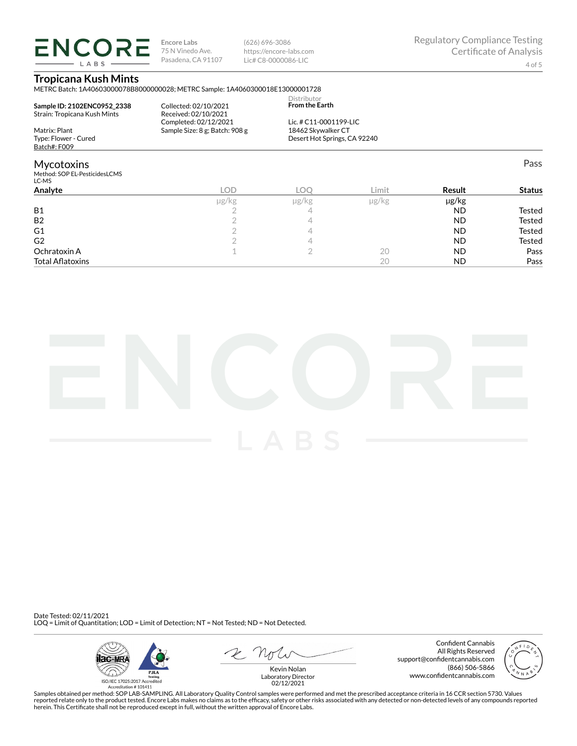**ENCORE** LABS

**Encore Labs** 75 N Vinedo Ave. Pasadena, CA 91107 (626) 696-3086 https://encore-labs.com Lic# C8-0000086-LIC

Pass

# **Tropicana Kush Mints**

METRC Batch: 1A40603000078B8000000028; METRC Sample: 1A4060300018E13000001728

| Sample ID: 2102ENC0952 2338<br>Strain: Tropicana Kush Mints | Collected: 02/10/2021<br>Received: 02/10/2021<br>Completed: 02/12/2021 | <b>Distributor</b><br><b>From the Earth</b><br>Lic. # C11-0001199-LIC |
|-------------------------------------------------------------|------------------------------------------------------------------------|-----------------------------------------------------------------------|
| Matrix: Plant<br>Type: Flower - Cured<br>Batch#: F009       | Sample Size: 8 g; Batch: 908 g                                         | 18462 Skywalker CT<br>Desert Hot Springs, CA 92240                    |

## Mycotoxins

Method: SOP EL-PesticidesLCMS LC-MS

| LC-MS                   |            |       |               |           |               |
|-------------------------|------------|-------|---------------|-----------|---------------|
| Analyte                 | <b>LOD</b> | LOC   | Limit         | Result    | <b>Status</b> |
|                         | µg/kg      | µg/kg | $\mu$ g/ $kg$ | µg/kg     |               |
| <b>B1</b>               |            | 4     |               | <b>ND</b> | Tested        |
| B <sub>2</sub>          |            |       |               | <b>ND</b> | Tested        |
| G1                      |            |       |               | <b>ND</b> | Tested        |
| G <sub>2</sub>          |            |       |               | <b>ND</b> | Tested        |
| Ochratoxin A            |            |       | 20            | <b>ND</b> | Pass          |
| <b>Total Aflatoxins</b> |            |       | 20            | <b>ND</b> | Pass          |
|                         |            |       |               |           |               |



Date Tested: 02/11/2021 LOQ = Limit of Quantitation; LOD = Limit of Detection; NT = Not Tested; ND = Not Detected.



 $R$  Mr

Confident Cannabis All Rights Reserved support@confidentcannabis.com (866) 506-5866 www.confidentcannabis.com



Kevin Nolan Laboratory Director 02/12/2021

Samples obtained per method: SOP LAB-SAMPLING. All Laboratory Quality Control samples were performed and met the prescribed acceptance criteria in 16 CCR section 5730. Values reported relate only to the product tested. Encore Labs makes no claims as to the efficacy, safety or other risks associated with any detected or non-detected levels of any compounds reported<br>herein. This Certificate shall